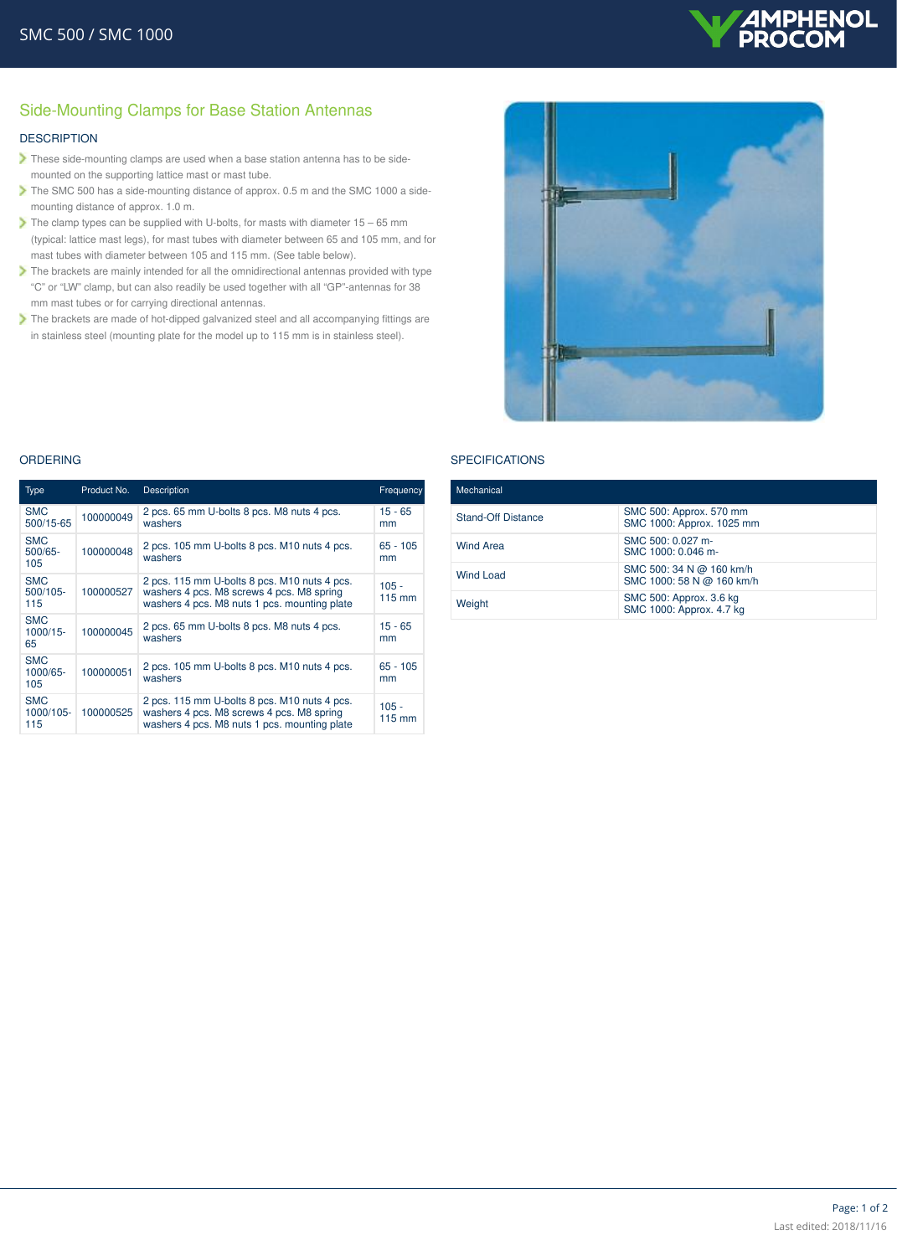

# Side-Mounting Clamps for Base Station Antennas

## **DESCRIPTION**

- These side-mounting clamps are used when a base station antenna has to be sidemounted on the supporting lattice mast or mast tube.
- The SMC 500 has a side-mounting distance of approx. 0.5 m and the SMC 1000 a sidemounting distance of approx. 1.0 m.
- The clamp types can be supplied with U-bolts, for masts with diameter  $15 65$  mm (typical: lattice mast legs), for mast tubes with diameter between 65 and 105 mm, and for mast tubes with diameter between 105 and 115 mm. (See table below).
- The brackets are mainly intended for all the omnidirectional antennas provided with type "C" or "LW" clamp, but can also readily be used together with all "GP"-antennas for 38 mm mast tubes or for carrying directional antennas.
- The brackets are made of hot-dipped galvanized steel and all accompanying fittings are in stainless steel (mounting plate for the model up to 115 mm is in stainless steel).



#### **SPECIFICATIONS**

| Mechanical                |                                                       |  |
|---------------------------|-------------------------------------------------------|--|
| <b>Stand-Off Distance</b> | SMC 500: Approx. 570 mm<br>SMC 1000: Approx. 1025 mm  |  |
| <b>Wind Area</b>          | SMC 500: 0.027 m-<br>SMC 1000: 0.046 m-               |  |
| Wind Load                 | SMC 500: 34 N @ 160 km/h<br>SMC 1000: 58 N @ 160 km/h |  |
| Weight                    | SMC 500: Approx. 3.6 kg<br>SMC 1000: Approx. 4.7 kg   |  |

#### ORDERING

| <b>Type</b>                      | Product No. | <b>Description</b>                                                                                                                        | Frequency         |
|----------------------------------|-------------|-------------------------------------------------------------------------------------------------------------------------------------------|-------------------|
| <b>SMC</b><br>500/15-65          | 100000049   | 2 pcs. 65 mm U-bolts 8 pcs. M8 nuts 4 pcs.<br>washers                                                                                     | $15 - 65$<br>mm   |
| <b>SMC</b><br>$500/65 -$<br>105  | 100000048   | 2 pcs. 105 mm U-bolts 8 pcs. M10 nuts 4 pcs.<br>washers                                                                                   | $65 - 105$<br>mm  |
| <b>SMC</b><br>$500/105 -$<br>115 | 100000527   | 2 pcs. 115 mm U-bolts 8 pcs. M10 nuts 4 pcs.<br>washers 4 pcs. M8 screws 4 pcs. M8 spring<br>washers 4 pcs. M8 nuts 1 pcs. mounting plate | $105 -$<br>115 mm |
| <b>SMC</b><br>$1000/15 -$<br>65  | 100000045   | 2 pcs. 65 mm U-bolts 8 pcs. M8 nuts 4 pcs.<br>washers                                                                                     | $15 - 65$<br>mm   |
| <b>SMC</b><br>1000/65-<br>105    | 100000051   | 2 pcs. 105 mm U-bolts 8 pcs. M10 nuts 4 pcs.<br>washers                                                                                   | $65 - 105$<br>mm  |
| <b>SMC</b><br>1000/105-<br>115   | 100000525   | 2 pcs. 115 mm U-bolts 8 pcs. M10 nuts 4 pcs.<br>washers 4 pcs. M8 screws 4 pcs. M8 spring<br>washers 4 pcs. M8 nuts 1 pcs. mounting plate | $105 -$<br>115 mm |